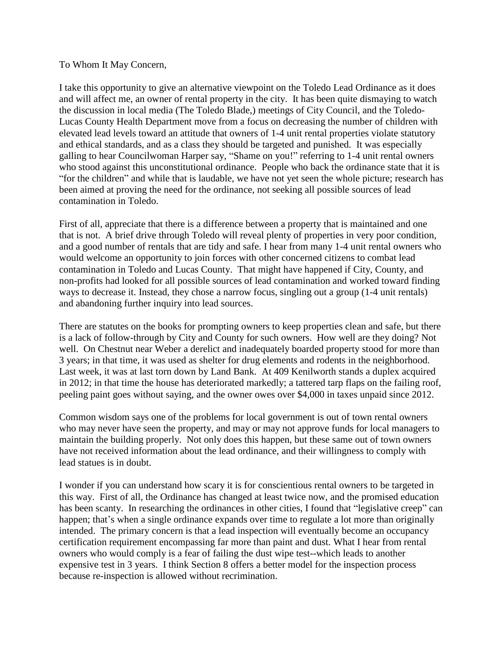## To Whom It May Concern,

I take this opportunity to give an alternative viewpoint on the Toledo Lead Ordinance as it does and will affect me, an owner of rental property in the city. It has been quite dismaying to watch the discussion in local media (The Toledo Blade,) meetings of City Council, and the Toledo-Lucas County Health Department move from a focus on decreasing the number of children with elevated lead levels toward an attitude that owners of 1-4 unit rental properties violate statutory and ethical standards, and as a class they should be targeted and punished. It was especially galling to hear Councilwoman Harper say, "Shame on you!" referring to 1-4 unit rental owners who stood against this unconstitutional ordinance. People who back the ordinance state that it is "for the children" and while that is laudable, we have not yet seen the whole picture; research has been aimed at proving the need for the ordinance, not seeking all possible sources of lead contamination in Toledo.

First of all, appreciate that there is a difference between a property that is maintained and one that is not. A brief drive through Toledo will reveal plenty of properties in very poor condition, and a good number of rentals that are tidy and safe. I hear from many 1-4 unit rental owners who would welcome an opportunity to join forces with other concerned citizens to combat lead contamination in Toledo and Lucas County. That might have happened if City, County, and non-profits had looked for all possible sources of lead contamination and worked toward finding ways to decrease it. Instead, they chose a narrow focus, singling out a group (1-4 unit rentals) and abandoning further inquiry into lead sources.

There are statutes on the books for prompting owners to keep properties clean and safe, but there is a lack of follow-through by City and County for such owners. How well are they doing? Not well. On Chestnut near Weber a derelict and inadequately boarded property stood for more than 3 years; in that time, it was used as shelter for drug elements and rodents in the neighborhood. Last week, it was at last torn down by Land Bank. At 409 Kenilworth stands a duplex acquired in 2012; in that time the house has deteriorated markedly; a tattered tarp flaps on the failing roof, peeling paint goes without saying, and the owner owes over \$4,000 in taxes unpaid since 2012.

Common wisdom says one of the problems for local government is out of town rental owners who may never have seen the property, and may or may not approve funds for local managers to maintain the building properly. Not only does this happen, but these same out of town owners have not received information about the lead ordinance, and their willingness to comply with lead statues is in doubt.

I wonder if you can understand how scary it is for conscientious rental owners to be targeted in this way. First of all, the Ordinance has changed at least twice now, and the promised education has been scanty. In researching the ordinances in other cities, I found that "legislative creep" can happen; that's when a single ordinance expands over time to regulate a lot more than originally intended. The primary concern is that a lead inspection will eventually become an occupancy certification requirement encompassing far more than paint and dust. What I hear from rental owners who would comply is a fear of failing the dust wipe test--which leads to another expensive test in 3 years. I think Section 8 offers a better model for the inspection process because re-inspection is allowed without recrimination.